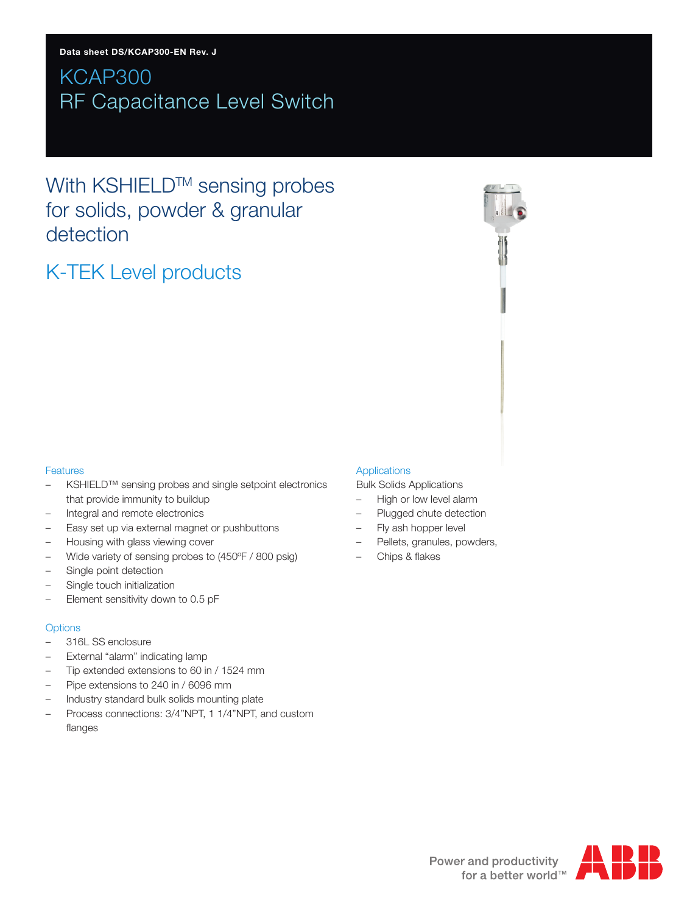# KCAP300 RF Capacitance Level Switch

With KSHIELD™ sensing probes for solids, powder & granular detection

# K-TEK Level products

### **Features**

- KSHIELD™ sensing probes and single setpoint electronics that provide immunity to buildup
- Integral and remote electronics
- Easy set up via external magnet or pushbuttons
- Housing with glass viewing cover
- Wide variety of sensing probes to (450ºF / 800 psig)
- Single point detection
- Single touch initialization
- Element sensitivity down to 0.5 pF

### **Options**

- 316L SS enclosure
- External "alarm" indicating lamp
- Tip extended extensions to 60 in / 1524 mm
- Pipe extensions to 240 in / 6096 mm
- Industry standard bulk solids mounting plate
- Process connections: 3/4"NPT, 1 1/4"NPT, and custom flanges

### Applications

Bulk Solids Applications

- High or low level alarm
- Plugged chute detection
- Fly ash hopper level
- Pellets, granules, powders,
- Chips & flakes

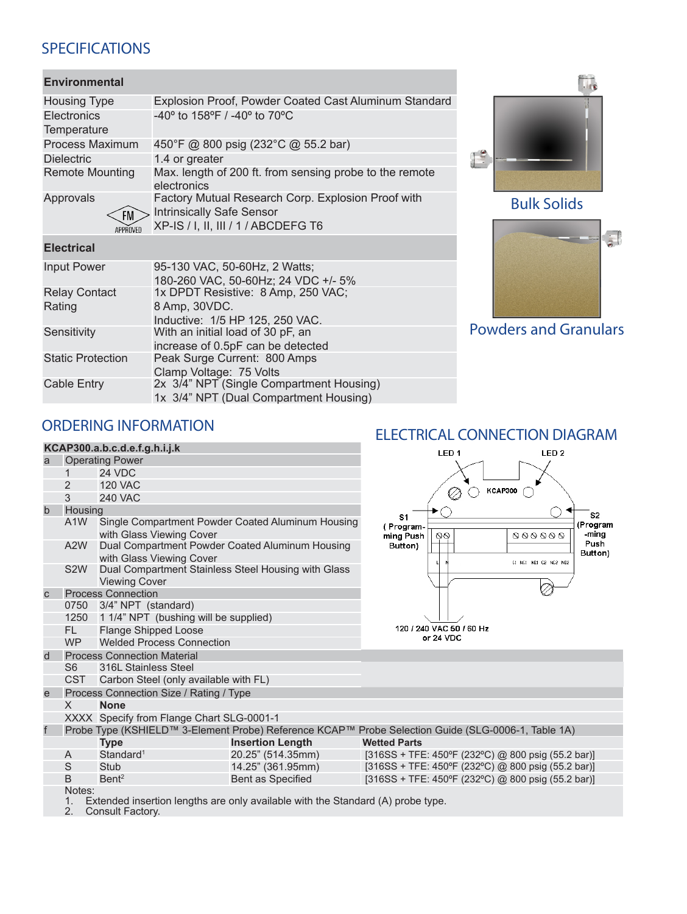## SPECIFICATIONS

## **Environmental**

| <b>Housing Type</b>            | Explosion Proof, Powder Coated Cast Aluminum Standard                                                                         |  |  |  |  |
|--------------------------------|-------------------------------------------------------------------------------------------------------------------------------|--|--|--|--|
| Electronics<br>Temperature     | -40 $^{\circ}$ to 158 $^{\circ}$ F / -40 $^{\circ}$ to 70 $^{\circ}$ C                                                        |  |  |  |  |
| Process Maximum                | 450°F @ 800 psig (232°C @ 55.2 bar)                                                                                           |  |  |  |  |
| <b>Dielectric</b>              | 1.4 or greater                                                                                                                |  |  |  |  |
| <b>Remote Mounting</b>         | Max. length of 200 ft. from sensing probe to the remote<br>electronics                                                        |  |  |  |  |
| Approvals<br>FM<br>APPROVED    | Factory Mutual Research Corp. Explosion Proof with<br><b>Intrinsically Safe Sensor</b><br>XP-IS / I, II, III / 1 / ABCDEFG T6 |  |  |  |  |
| <b>Electrical</b>              |                                                                                                                               |  |  |  |  |
| <b>Input Power</b>             | 95-130 VAC, 50-60Hz, 2 Watts;<br>180-260 VAC, 50-60Hz; 24 VDC +/- 5%                                                          |  |  |  |  |
| <b>Relay Contact</b><br>Rating | 1x DPDT Resistive: 8 Amp, 250 VAC;<br>8 Amp, 30VDC.                                                                           |  |  |  |  |

Inductive: 1/5 HP 125, 250 VAC.

increase of 0.5pF can be detected

1x 3/4" NPT (Dual Compartment Housing)

Clamp Voltage: 75 Volts Cable Entry 2x 3/4" NPT (Single Compartment Housing)

Sensitivity With an initial load of 30 pF, an

Static Protection Peak Surge Current: 800 Amps







Powders and Granulars

## ORDERING INFORMATION

| KCAP300.a.b.c.d.e.f.g.h.i.j.k |                                                                                                 |                                                                             |                                                   | LED <sub>1</sub><br>LED <sub>2</sub>                                                               |  |
|-------------------------------|-------------------------------------------------------------------------------------------------|-----------------------------------------------------------------------------|---------------------------------------------------|----------------------------------------------------------------------------------------------------|--|
| a                             |                                                                                                 | <b>Operating Power</b>                                                      |                                                   |                                                                                                    |  |
|                               |                                                                                                 | <b>24 VDC</b>                                                               |                                                   |                                                                                                    |  |
|                               | 2                                                                                               | <b>120 VAC</b>                                                              |                                                   | <b>KCAP300</b>                                                                                     |  |
|                               | 3                                                                                               | <b>240 VAC</b>                                                              |                                                   |                                                                                                    |  |
| $\mathsf b$                   | Housing                                                                                         |                                                                             |                                                   | S <sub>2</sub>                                                                                     |  |
|                               | A <sub>1</sub> W                                                                                | with Glass Viewing Cover                                                    | Single Compartment Powder Coated Aluminum Housing | S <sub>1</sub><br>(Program<br>(Program-<br>-ming<br>000000<br>ming Push<br>80                      |  |
|                               | A <sub>2</sub> W                                                                                | Dual Compartment Powder Coated Aluminum Housing<br>with Glass Viewing Cover |                                                   | Push<br>Button)<br>Button)                                                                         |  |
|                               | S <sub>2</sub> W                                                                                | Dual Compartment Stainless Steel Housing with Glass<br><b>Viewing Cover</b> |                                                   | C1 NC1 ND1 C2 NC2 ND2                                                                              |  |
| $\mathsf{C}$                  | <b>Process Connection</b>                                                                       |                                                                             |                                                   |                                                                                                    |  |
|                               | 0750                                                                                            | 3/4" NPT (standard)                                                         |                                                   |                                                                                                    |  |
|                               | 1250                                                                                            | 1 1/4" NPT (bushing will be supplied)                                       |                                                   |                                                                                                    |  |
|                               | FL.                                                                                             | <b>Flange Shipped Loose</b>                                                 |                                                   | 120 / 240 VAC 50 / 60 Hz                                                                           |  |
|                               | <b>WP</b>                                                                                       | <b>Welded Process Connection</b>                                            |                                                   | or 24 VDC                                                                                          |  |
| d                             |                                                                                                 | <b>Process Connection Material</b>                                          |                                                   |                                                                                                    |  |
|                               | S <sub>6</sub>                                                                                  | 316L Stainless Steel                                                        |                                                   |                                                                                                    |  |
|                               | <b>CST</b>                                                                                      | Carbon Steel (only available with FL)                                       |                                                   |                                                                                                    |  |
| e                             |                                                                                                 | Process Connection Size / Rating / Type                                     |                                                   |                                                                                                    |  |
|                               | $\times$                                                                                        | <b>None</b>                                                                 |                                                   |                                                                                                    |  |
|                               |                                                                                                 | XXXX Specify from Flange Chart SLG-0001-1                                   |                                                   |                                                                                                    |  |
| $\mathsf{f}$                  |                                                                                                 |                                                                             |                                                   | Probe Type (KSHIELD™ 3-Element Probe) Reference KCAP™ Probe Selection Guide (SLG-0006-1, Table 1A) |  |
|                               |                                                                                                 | <b>Type</b>                                                                 | <b>Insertion Length</b>                           | <b>Wetted Parts</b>                                                                                |  |
|                               | A                                                                                               | Standard <sup>1</sup>                                                       | 20.25" (514.35mm)                                 | $[316SS + TFE: 450^{\circ}F (232^{\circ}C)$ @ 800 psig (55.2 bar)]                                 |  |
|                               | S                                                                                               | Stub                                                                        | 14.25" (361.95mm)                                 | [316SS + TFE: 450°F (232°C) @ 800 psig (55.2 bar)]                                                 |  |
|                               | B                                                                                               | Bent <sup>2</sup>                                                           | Bent as Specified                                 | [316SS + TFE: 450°F (232°C) @ 800 psig (55.2 bar)]                                                 |  |
|                               | Notes:<br>Extended insertion lengths are only available with the Standard (A) probe type.<br>1. |                                                                             |                                                   |                                                                                                    |  |

2. Consult Factory.

## ELECTRICAL CONNECTION DIAGRAM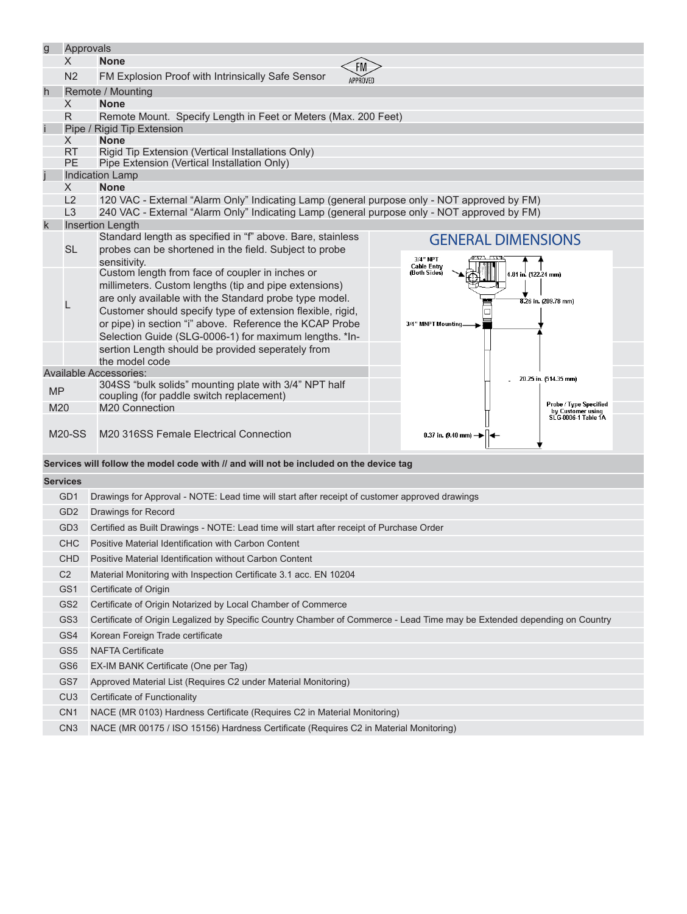| $\overline{g}$                                                                      | Approvals<br>X.                                                                                                                             | <b>None</b>                                                                                    |                                                                    |  |  |  |  |  |
|-------------------------------------------------------------------------------------|---------------------------------------------------------------------------------------------------------------------------------------------|------------------------------------------------------------------------------------------------|--------------------------------------------------------------------|--|--|--|--|--|
|                                                                                     |                                                                                                                                             |                                                                                                |                                                                    |  |  |  |  |  |
|                                                                                     | N <sub>2</sub>                                                                                                                              | FM Explosion Proof with Intrinsically Safe Sensor<br>APPROVED                                  |                                                                    |  |  |  |  |  |
| h                                                                                   | $\chi$                                                                                                                                      | Remote / Mounting<br><b>None</b>                                                               |                                                                    |  |  |  |  |  |
|                                                                                     | R.                                                                                                                                          | Remote Mount. Specify Length in Feet or Meters (Max. 200 Feet)                                 |                                                                    |  |  |  |  |  |
| Î                                                                                   | Pipe / Rigid Tip Extension                                                                                                                  |                                                                                                |                                                                    |  |  |  |  |  |
|                                                                                     | $\times$                                                                                                                                    | <b>None</b>                                                                                    |                                                                    |  |  |  |  |  |
|                                                                                     | RT.                                                                                                                                         | Rigid Tip Extension (Vertical Installations Only)                                              |                                                                    |  |  |  |  |  |
|                                                                                     | <b>PE</b>                                                                                                                                   | Pipe Extension (Vertical Installation Only)                                                    |                                                                    |  |  |  |  |  |
| Ĩ                                                                                   | $\times$                                                                                                                                    | <b>Indication Lamp</b><br><b>None</b>                                                          |                                                                    |  |  |  |  |  |
|                                                                                     | L2                                                                                                                                          | 120 VAC - External "Alarm Only" Indicating Lamp (general purpose only - NOT approved by FM)    |                                                                    |  |  |  |  |  |
|                                                                                     | L3                                                                                                                                          | 240 VAC - External "Alarm Only" Indicating Lamp (general purpose only - NOT approved by FM)    |                                                                    |  |  |  |  |  |
| $\mathsf k$                                                                         |                                                                                                                                             | <b>Insertion Length</b>                                                                        |                                                                    |  |  |  |  |  |
|                                                                                     |                                                                                                                                             | Standard length as specified in "f" above. Bare, stainless                                     | <b>GENERAL DIMENSIONS</b>                                          |  |  |  |  |  |
|                                                                                     | <b>SL</b>                                                                                                                                   | probes can be shortened in the field. Subject to probe                                         | 3/4" NPT                                                           |  |  |  |  |  |
|                                                                                     |                                                                                                                                             | sensitivity.<br>Custom length from face of coupler in inches or                                | <b>Cable Entry</b><br>(Both Sides)<br>4.81 in. (122.24 mm)         |  |  |  |  |  |
|                                                                                     |                                                                                                                                             | millimeters. Custom lengths (tip and pipe extensions)                                          |                                                                    |  |  |  |  |  |
|                                                                                     |                                                                                                                                             | are only available with the Standard probe type model.                                         | 8.26 in. (209.78 mm)                                               |  |  |  |  |  |
|                                                                                     | L                                                                                                                                           | Customer should specify type of extension flexible, rigid,                                     |                                                                    |  |  |  |  |  |
|                                                                                     |                                                                                                                                             | or pipe) in section "i" above. Reference the KCAP Probe                                        | 3/4" MNPT Mounting.                                                |  |  |  |  |  |
|                                                                                     |                                                                                                                                             | Selection Guide (SLG-0006-1) for maximum lengths. *In-                                         |                                                                    |  |  |  |  |  |
|                                                                                     |                                                                                                                                             | sertion Length should be provided seperately from<br>the model code                            |                                                                    |  |  |  |  |  |
|                                                                                     |                                                                                                                                             | <b>Available Accessories:</b>                                                                  |                                                                    |  |  |  |  |  |
| <b>MP</b>                                                                           |                                                                                                                                             | 304SS "bulk solids" mounting plate with 3/4" NPT half                                          | 20.25 in. (514.35 mm)                                              |  |  |  |  |  |
|                                                                                     |                                                                                                                                             | coupling (for paddle switch replacement)                                                       |                                                                    |  |  |  |  |  |
| M20                                                                                 |                                                                                                                                             | M20 Connection                                                                                 | Probe / Type Specified<br>by Customer using<br>SLG-0006-1 Table 1A |  |  |  |  |  |
|                                                                                     | $M20-SS$                                                                                                                                    | M20 316SS Female Electrical Connection                                                         |                                                                    |  |  |  |  |  |
|                                                                                     |                                                                                                                                             |                                                                                                | 0.37 in. $(9.40 \text{ mm})$ $\rightarrow$                         |  |  |  |  |  |
|                                                                                     |                                                                                                                                             | Services will follow the model code with // and will not be included on the device tag         |                                                                    |  |  |  |  |  |
|                                                                                     | <b>Services</b>                                                                                                                             |                                                                                                |                                                                    |  |  |  |  |  |
|                                                                                     | GD1                                                                                                                                         |                                                                                                |                                                                    |  |  |  |  |  |
|                                                                                     |                                                                                                                                             | Drawings for Approval - NOTE: Lead time will start after receipt of customer approved drawings |                                                                    |  |  |  |  |  |
|                                                                                     | GD <sub>2</sub>                                                                                                                             | <b>Drawings for Record</b>                                                                     |                                                                    |  |  |  |  |  |
|                                                                                     | Certified as Built Drawings - NOTE: Lead time will start after receipt of Purchase Order<br>GD3                                             |                                                                                                |                                                                    |  |  |  |  |  |
| <b>CHC</b>                                                                          |                                                                                                                                             | Positive Material Identification with Carbon Content                                           |                                                                    |  |  |  |  |  |
| CHD<br>Positive Material Identification without Carbon Content                      |                                                                                                                                             |                                                                                                |                                                                    |  |  |  |  |  |
| C <sub>2</sub><br>Material Monitoring with Inspection Certificate 3.1 acc. EN 10204 |                                                                                                                                             |                                                                                                |                                                                    |  |  |  |  |  |
| GS1                                                                                 |                                                                                                                                             | Certificate of Origin                                                                          |                                                                    |  |  |  |  |  |
| GS <sub>2</sub><br>Certificate of Origin Notarized by Local Chamber of Commerce     |                                                                                                                                             |                                                                                                |                                                                    |  |  |  |  |  |
|                                                                                     | GS <sub>3</sub><br>Certificate of Origin Legalized by Specific Country Chamber of Commerce - Lead Time may be Extended depending on Country |                                                                                                |                                                                    |  |  |  |  |  |
|                                                                                     | GS4                                                                                                                                         | Korean Foreign Trade certificate                                                               |                                                                    |  |  |  |  |  |
|                                                                                     | GS <sub>5</sub>                                                                                                                             | <b>NAFTA Certificate</b>                                                                       |                                                                    |  |  |  |  |  |
|                                                                                     | GS <sub>6</sub>                                                                                                                             | EX-IM BANK Certificate (One per Tag)                                                           |                                                                    |  |  |  |  |  |
|                                                                                     | GS7                                                                                                                                         | Approved Material List (Requires C2 under Material Monitoring)                                 |                                                                    |  |  |  |  |  |
|                                                                                     | CU <sub>3</sub>                                                                                                                             | Certificate of Functionality                                                                   |                                                                    |  |  |  |  |  |
|                                                                                     | CN <sub>1</sub>                                                                                                                             | NACE (MR 0103) Hardness Certificate (Requires C2 in Material Monitoring)                       |                                                                    |  |  |  |  |  |
|                                                                                     | CN <sub>3</sub><br>NACE (MR 00175 / ISO 15156) Hardness Certificate (Requires C2 in Material Monitoring)                                    |                                                                                                |                                                                    |  |  |  |  |  |
|                                                                                     |                                                                                                                                             |                                                                                                |                                                                    |  |  |  |  |  |